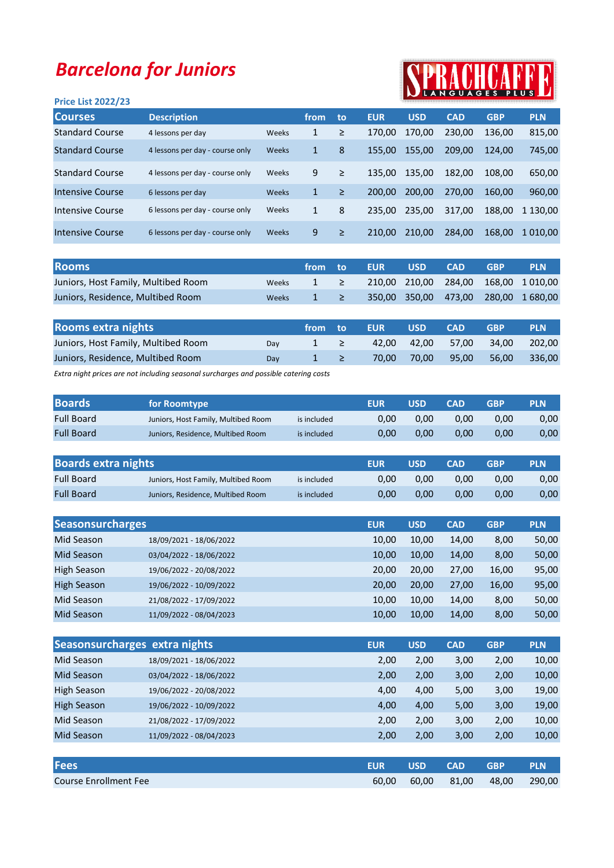## Barcelona for Juniors

## Price List 2022/23



| <b>Courses</b>         | <b>Description</b>              |       | from | to     | <b>EUR</b> | <b>USD</b> | <b>CAD</b> | <b>GBP</b> | <b>PLN</b>   |
|------------------------|---------------------------------|-------|------|--------|------------|------------|------------|------------|--------------|
| <b>Standard Course</b> | 4 lessons per day               | Weeks | 1    | ≥      | 170.00     | 170,00     | 230.00     | 136.00     | 815,00       |
| <b>Standard Course</b> | 4 lessons per day - course only | Weeks | 1    | 8      | 155.00     | 155,00     | 209.00     | 124.00     | 745,00       |
| <b>Standard Course</b> | 4 lessons per day - course only | Weeks | 9    | $\geq$ | 135.00     | 135,00     | 182.00     | 108.00     | 650,00       |
| Intensive Course       | 6 lessons per day               | Weeks | 1    | ≥      | 200.00     | 200.00     | 270.00     | 160.00     | 960,00       |
| Intensive Course       | 6 lessons per day - course only | Weeks | 1    | 8      | 235.00     | 235,00     | 317.00     | 188.00     | 1 130.00     |
| Intensive Course       | 6 lessons per day - course only | Weeks | 9    | ≥      | 210.00     | 210.00     | 284.00     | 168.00     | 1 0 1 0 .0 0 |

| <b>Rooms</b>                        |              |          | from to EUR | - USD- | <b>CAD</b> | <b>GRP</b> | <b>PLN</b>                          |
|-------------------------------------|--------------|----------|-------------|--------|------------|------------|-------------------------------------|
| Juniors, Host Family, Multibed Room | <b>Weeks</b> | $1 \geq$ |             |        |            |            | 210,00 210,00 284,00 168,00 1010,00 |
| Juniors, Residence, Multibed Room   | <b>Weeks</b> | $1 \geq$ |             |        |            |            | 350,00 350,00 473,00 280,00 1680,00 |

| <b>Rooms extra nights</b>           |     | from to  | <b>EUR</b> | <b>USD</b> | <b>CAD</b>        | <b>GRP</b> | <b>PLN</b> |
|-------------------------------------|-----|----------|------------|------------|-------------------|------------|------------|
| Juniors, Host Family, Multibed Room | Dav | $1 \geq$ |            |            | 42.00 42.00 57.00 | - 34.00    | 202.00     |
| Juniors, Residence, Multibed Room   | Dav | $1 \geq$ | 70.00      |            | 70,00 95,00       | 56.00      | 336.00     |

Extra night prices are not including seasonal surcharges and possible catering costs

| <b>Boards</b>     | for Roomtype                        |             | EUR  | USD. | CAD  | <b>GBP</b> | <b>PLN</b> |
|-------------------|-------------------------------------|-------------|------|------|------|------------|------------|
| <b>Full Board</b> | Juniors, Host Family, Multibed Room | is included | 0.00 | 0.00 | 0.00 | 0.00       | 0,00       |
| <b>Full Board</b> | Juniors, Residence, Multibed Room   | is included | 0.00 | 0.00 | 0.00 | 0.00       | 0,00       |

| <b>Boards extra nights</b> |                                     |             | <b>EUR</b> | <b>USD</b> | <b>CAD</b> | <b>GBP</b> | <b>PLN</b> |
|----------------------------|-------------------------------------|-------------|------------|------------|------------|------------|------------|
| <b>Full Board</b>          | Juniors, Host Family, Multibed Room | is included | 0.00       | 0.00       | 0.00       | 0.00       | 0,00       |
| <b>Full Board</b>          | Juniors, Residence, Multibed Room   | is included | 0.00       | 0.00       | 0.00       | 0.00       | 0,00       |

| <b>Seasonsurcharges</b> |                         | <b>EUR</b> | <b>USD</b> | <b>CAD</b> | <b>GBP</b> | <b>PLN</b> |
|-------------------------|-------------------------|------------|------------|------------|------------|------------|
| Mid Season              | 18/09/2021 - 18/06/2022 | 10,00      | 10,00      | 14,00      | 8,00       | 50,00      |
| Mid Season              | 03/04/2022 - 18/06/2022 | 10,00      | 10,00      | 14,00      | 8,00       | 50,00      |
| <b>High Season</b>      | 19/06/2022 - 20/08/2022 | 20.00      | 20.00      | 27.00      | 16,00      | 95,00      |
| <b>High Season</b>      | 19/06/2022 - 10/09/2022 | 20.00      | 20,00      | 27,00      | 16,00      | 95,00      |
| Mid Season              | 21/08/2022 - 17/09/2022 | 10,00      | 10,00      | 14.00      | 8,00       | 50,00      |
| <b>Mid Season</b>       | 11/09/2022 - 08/04/2023 | 10,00      | 10,00      | 14,00      | 8,00       | 50,00      |

| Seasonsurcharges extra nights |                         | <b>EUR</b> | <b>USD</b> | <b>CAD</b> | <b>GBP</b> | <b>PLN</b> |
|-------------------------------|-------------------------|------------|------------|------------|------------|------------|
| Mid Season                    | 18/09/2021 - 18/06/2022 | 2,00       | 2,00       | 3,00       | 2,00       | 10,00      |
| Mid Season                    | 03/04/2022 - 18/06/2022 | 2,00       | 2,00       | 3,00       | 2,00       | 10,00      |
| High Season                   | 19/06/2022 - 20/08/2022 | 4,00       | 4,00       | 5,00       | 3,00       | 19,00      |
| <b>High Season</b>            | 19/06/2022 - 10/09/2022 | 4,00       | 4,00       | 5,00       | 3,00       | 19,00      |
| Mid Season                    | 21/08/2022 - 17/09/2022 | 2,00       | 2,00       | 3,00       | 2,00       | 10,00      |
| Mid Season                    | 11/09/2022 - 08/04/2023 | 2,00       | 2,00       | 3,00       | 2,00       | 10,00      |

| <b>Fees</b>           | <b>EUR</b> | <b>USD</b> | <b>CAD</b> | <b>GBP</b> | <b>PLN</b> |
|-----------------------|------------|------------|------------|------------|------------|
| Course Enrollment Fee | 60.00      | 60.00      | 81.00      | 48.00      | 290,00     |